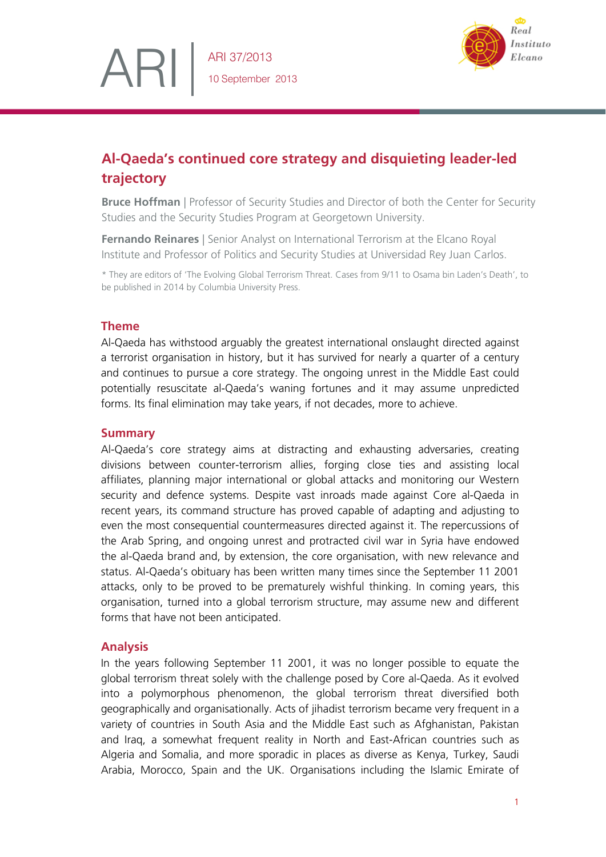

# **Al-Qaeda's continued core strategy and disquieting leader-led trajectory**

**Bruce Hoffman** | Professor of Security Studies and Director of both the Center for Security Studies and the Security Studies Program at Georgetown University.

**Fernando Reinares** | Senior Analyst on International Terrorism at the Elcano Royal Institute and Professor of Politics and Security Studies at Universidad Rey Juan Carlos.

\* They are editors of 'The Evolving Global Terrorism Threat. Cases from 9/11 to Osama bin Laden's Death', to be published in 2014 by Columbia University Press.

## **Theme**

ARI

Al-Qaeda has withstood arguably the greatest international onslaught directed against a terrorist organisation in history, but it has survived for nearly a quarter of a century and continues to pursue a core strategy. The ongoing unrest in the Middle East could potentially resuscitate al-Qaeda's waning fortunes and it may assume unpredicted forms. Its final elimination may take years, if not decades, more to achieve.

## **Summary**

Al-Qaeda's core strategy aims at distracting and exhausting adversaries, creating divisions between counter-terrorism allies, forging close ties and assisting local affiliates, planning major international or global attacks and monitoring our Western security and defence systems. Despite vast inroads made against Core al-Qaeda in recent years, its command structure has proved capable of adapting and adjusting to even the most consequential countermeasures directed against it. The repercussions of the Arab Spring, and ongoing unrest and protracted civil war in Syria have endowed the al-Qaeda brand and, by extension, the core organisation, with new relevance and status. Al-Qaeda's obituary has been written many times since the September 11 2001 attacks, only to be proved to be prematurely wishful thinking. In coming years, this organisation, turned into a global terrorism structure, may assume new and different forms that have not been anticipated.

# **Analysis**

In the years following September 11 2001, it was no longer possible to equate the global terrorism threat solely with the challenge posed by Core al-Qaeda. As it evolved into a polymorphous phenomenon, the global terrorism threat diversified both geographically and organisationally. Acts of jihadist terrorism became very frequent in a variety of countries in South Asia and the Middle East such as Afghanistan, Pakistan and Iraq, a somewhat frequent reality in North and East-African countries such as Algeria and Somalia, and more sporadic in places as diverse as Kenya, Turkey, Saudi Arabia, Morocco, Spain and the UK. Organisations including the Islamic Emirate of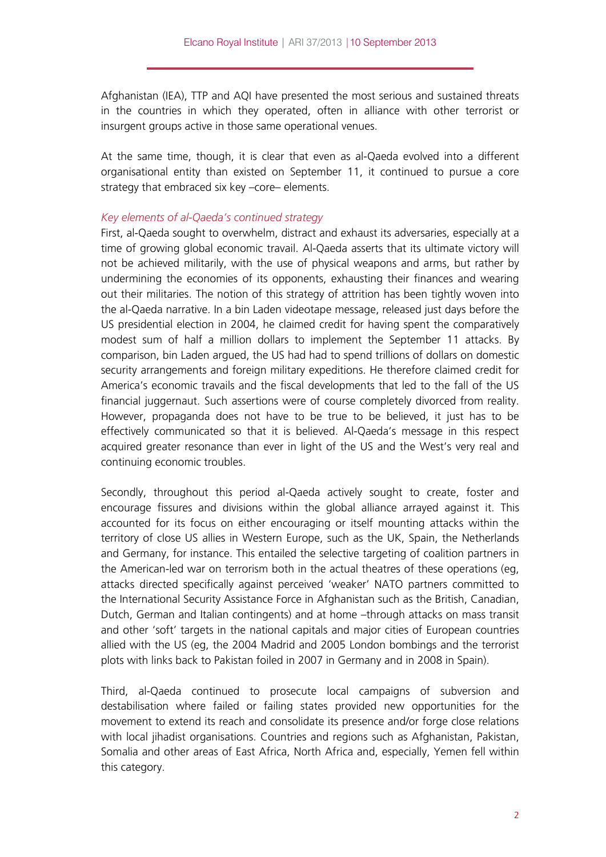Afghanistan (IEA), TTP and AQI have presented the most serious and sustained threats in the countries in which they operated, often in alliance with other terrorist or insurgent groups active in those same operational venues.

At the same time, though, it is clear that even as al-Qaeda evolved into a different organisational entity than existed on September 11, it continued to pursue a core strategy that embraced six key –core– elements.

#### *Key elements of al-Qaeda's continued strategy*

First, al-Qaeda sought to overwhelm, distract and exhaust its adversaries, especially at a time of growing global economic travail. Al-Qaeda asserts that its ultimate victory will not be achieved militarily, with the use of physical weapons and arms, but rather by undermining the economies of its opponents, exhausting their finances and wearing out their militaries. The notion of this strategy of attrition has been tightly woven into the al-Qaeda narrative. In a bin Laden videotape message, released just days before the US presidential election in 2004, he claimed credit for having spent the comparatively modest sum of half a million dollars to implement the September 11 attacks. By comparison, bin Laden argued, the US had had to spend trillions of dollars on domestic security arrangements and foreign military expeditions. He therefore claimed credit for America's economic travails and the fiscal developments that led to the fall of the US financial juggernaut. Such assertions were of course completely divorced from reality. However, propaganda does not have to be true to be believed, it just has to be effectively communicated so that it is believed. Al-Qaeda's message in this respect acquired greater resonance than ever in light of the US and the West's very real and continuing economic troubles.

Secondly, throughout this period al-Qaeda actively sought to create, foster and encourage fissures and divisions within the global alliance arrayed against it. This accounted for its focus on either encouraging or itself mounting attacks within the territory of close US allies in Western Europe, such as the UK, Spain, the Netherlands and Germany, for instance. This entailed the selective targeting of coalition partners in the American-led war on terrorism both in the actual theatres of these operations (eg, attacks directed specifically against perceived 'weaker' NATO partners committed to the International Security Assistance Force in Afghanistan such as the British, Canadian, Dutch, German and Italian contingents) and at home –through attacks on mass transit and other 'soft' targets in the national capitals and major cities of European countries allied with the US (eg, the 2004 Madrid and 2005 London bombings and the terrorist plots with links back to Pakistan foiled in 2007 in Germany and in 2008 in Spain).

Third, al-Qaeda continued to prosecute local campaigns of subversion and destabilisation where failed or failing states provided new opportunities for the movement to extend its reach and consolidate its presence and/or forge close relations with local jihadist organisations. Countries and regions such as Afghanistan, Pakistan, Somalia and other areas of East Africa, North Africa and, especially, Yemen fell within this category.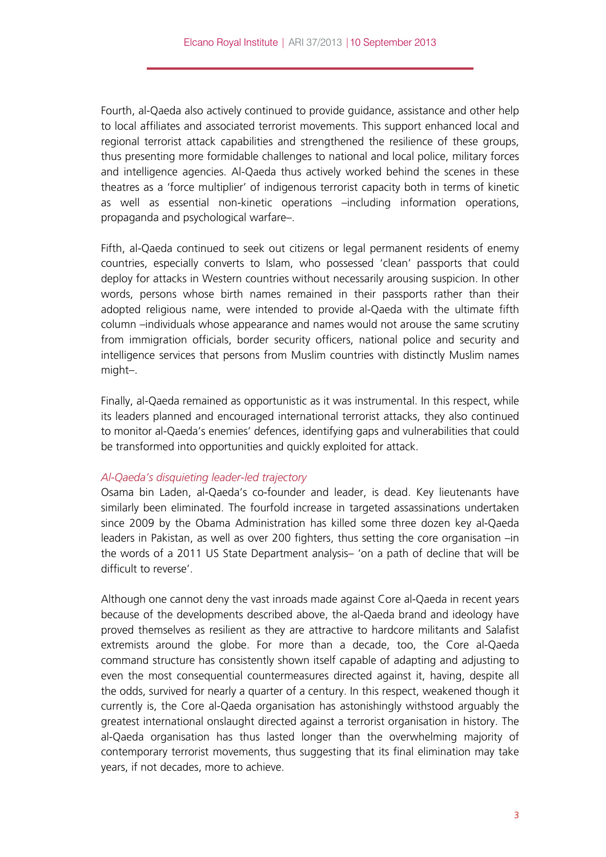Fourth, al-Qaeda also actively continued to provide guidance, assistance and other help to local affiliates and associated terrorist movements. This support enhanced local and regional terrorist attack capabilities and strengthened the resilience of these groups, thus presenting more formidable challenges to national and local police, military forces and intelligence agencies. Al-Qaeda thus actively worked behind the scenes in these theatres as a 'force multiplier' of indigenous terrorist capacity both in terms of kinetic as well as essential non-kinetic operations –including information operations, propaganda and psychological warfare–.

Fifth, al-Qaeda continued to seek out citizens or legal permanent residents of enemy countries, especially converts to Islam, who possessed 'clean' passports that could deploy for attacks in Western countries without necessarily arousing suspicion. In other words, persons whose birth names remained in their passports rather than their adopted religious name, were intended to provide al-Qaeda with the ultimate fifth column –individuals whose appearance and names would not arouse the same scrutiny from immigration officials, border security officers, national police and security and intelligence services that persons from Muslim countries with distinctly Muslim names might–.

Finally, al-Qaeda remained as opportunistic as it was instrumental. In this respect, while its leaders planned and encouraged international terrorist attacks, they also continued to monitor al-Qaeda's enemies' defences, identifying gaps and vulnerabilities that could be transformed into opportunities and quickly exploited for attack.

#### *Al-Qaeda's disquieting leader-led trajectory*

Osama bin Laden, al-Qaeda's co-founder and leader, is dead. Key lieutenants have similarly been eliminated. The fourfold increase in targeted assassinations undertaken since 2009 by the Obama Administration has killed some three dozen key al-Qaeda leaders in Pakistan, as well as over 200 fighters, thus setting the core organisation –in the words of a 2011 US State Department analysis– 'on a path of decline that will be difficult to reverse'.

Although one cannot deny the vast inroads made against Core al-Qaeda in recent years because of the developments described above, the al-Qaeda brand and ideology have proved themselves as resilient as they are attractive to hardcore militants and Salafist extremists around the globe. For more than a decade, too, the Core al-Qaeda command structure has consistently shown itself capable of adapting and adjusting to even the most consequential countermeasures directed against it, having, despite all the odds, survived for nearly a quarter of a century. In this respect, weakened though it currently is, the Core al-Qaeda organisation has astonishingly withstood arguably the greatest international onslaught directed against a terrorist organisation in history. The al-Qaeda organisation has thus lasted longer than the overwhelming majority of contemporary terrorist movements, thus suggesting that its final elimination may take years, if not decades, more to achieve.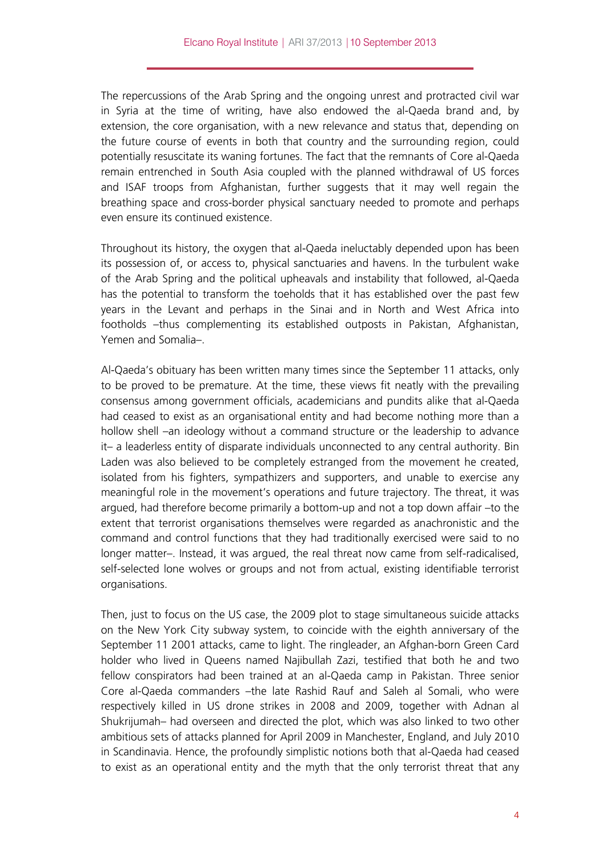The repercussions of the Arab Spring and the ongoing unrest and protracted civil war in Syria at the time of writing, have also endowed the al-Qaeda brand and, by extension, the core organisation, with a new relevance and status that, depending on the future course of events in both that country and the surrounding region, could potentially resuscitate its waning fortunes. The fact that the remnants of Core al-Qaeda remain entrenched in South Asia coupled with the planned withdrawal of US forces and ISAF troops from Afghanistan, further suggests that it may well regain the breathing space and cross-border physical sanctuary needed to promote and perhaps even ensure its continued existence.

Throughout its history, the oxygen that al-Qaeda ineluctably depended upon has been its possession of, or access to, physical sanctuaries and havens. In the turbulent wake of the Arab Spring and the political upheavals and instability that followed, al-Qaeda has the potential to transform the toeholds that it has established over the past few years in the Levant and perhaps in the Sinai and in North and West Africa into footholds –thus complementing its established outposts in Pakistan, Afghanistan, Yemen and Somalia-

Al-Qaeda's obituary has been written many times since the September 11 attacks, only to be proved to be premature. At the time, these views fit neatly with the prevailing consensus among government officials, academicians and pundits alike that al-Qaeda had ceased to exist as an organisational entity and had become nothing more than a hollow shell –an ideology without a command structure or the leadership to advance it– a leaderless entity of disparate individuals unconnected to any central authority. Bin Laden was also believed to be completely estranged from the movement he created, isolated from his fighters, sympathizers and supporters, and unable to exercise any meaningful role in the movement's operations and future trajectory. The threat, it was argued, had therefore become primarily a bottom-up and not a top down affair –to the extent that terrorist organisations themselves were regarded as anachronistic and the command and control functions that they had traditionally exercised were said to no longer matter–. Instead, it was argued, the real threat now came from self-radicalised, self-selected lone wolves or groups and not from actual, existing identifiable terrorist organisations.

Then, just to focus on the US case, the 2009 plot to stage simultaneous suicide attacks on the New York City subway system, to coincide with the eighth anniversary of the September 11 2001 attacks, came to light. The ringleader, an Afghan-born Green Card holder who lived in Queens named Najibullah Zazi, testified that both he and two fellow conspirators had been trained at an al-Qaeda camp in Pakistan. Three senior Core al-Qaeda commanders –the late Rashid Rauf and Saleh al Somali, who were respectively killed in US drone strikes in 2008 and 2009, together with Adnan al Shukrijumah– had overseen and directed the plot, which was also linked to two other ambitious sets of attacks planned for April 2009 in Manchester, England, and July 2010 in Scandinavia. Hence, the profoundly simplistic notions both that al-Qaeda had ceased to exist as an operational entity and the myth that the only terrorist threat that any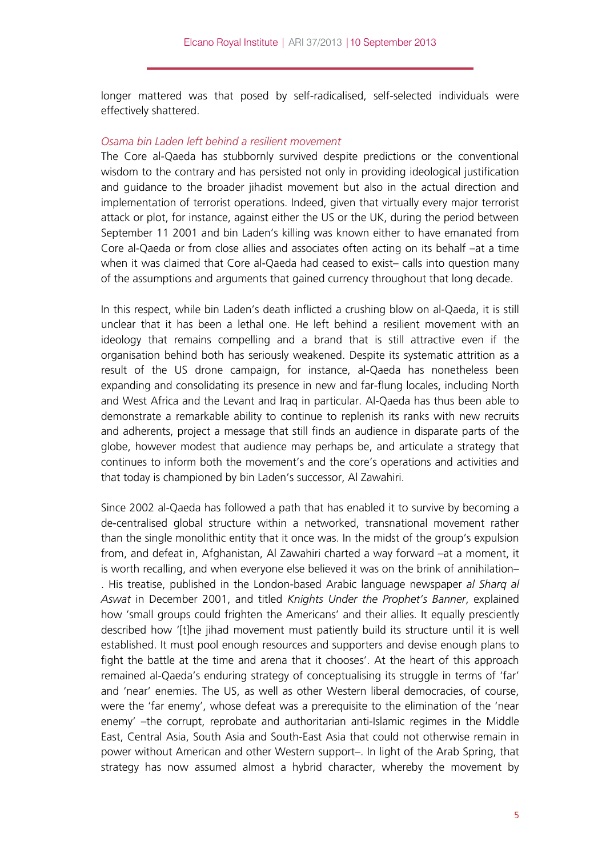longer mattered was that posed by self-radicalised, self-selected individuals were effectively shattered.

### *Osama bin Laden left behind a resilient movement*

The Core al-Qaeda has stubbornly survived despite predictions or the conventional wisdom to the contrary and has persisted not only in providing ideological justification and guidance to the broader jihadist movement but also in the actual direction and implementation of terrorist operations. Indeed, given that virtually every major terrorist attack or plot, for instance, against either the US or the UK, during the period between September 11 2001 and bin Laden's killing was known either to have emanated from Core al-Qaeda or from close allies and associates often acting on its behalf –at a time when it was claimed that Core al-Qaeda had ceased to exist- calls into question many of the assumptions and arguments that gained currency throughout that long decade.

In this respect, while bin Laden's death inflicted a crushing blow on al-Qaeda, it is still unclear that it has been a lethal one. He left behind a resilient movement with an ideology that remains compelling and a brand that is still attractive even if the organisation behind both has seriously weakened. Despite its systematic attrition as a result of the US drone campaign, for instance, al-Qaeda has nonetheless been expanding and consolidating its presence in new and far-flung locales, including North and West Africa and the Levant and Iraq in particular. Al-Qaeda has thus been able to demonstrate a remarkable ability to continue to replenish its ranks with new recruits and adherents, project a message that still finds an audience in disparate parts of the globe, however modest that audience may perhaps be, and articulate a strategy that continues to inform both the movement's and the core's operations and activities and that today is championed by bin Laden's successor, Al Zawahiri.

Since 2002 al-Qaeda has followed a path that has enabled it to survive by becoming a de-centralised global structure within a networked, transnational movement rather than the single monolithic entity that it once was. In the midst of the group's expulsion from, and defeat in, Afghanistan, Al Zawahiri charted a way forward –at a moment, it is worth recalling, and when everyone else believed it was on the brink of annihilation– . His treatise, published in the London-based Arabic language newspaper *al Sharq al Aswat* in December 2001, and titled *Knights Under the Prophet's Banner*, explained how 'small groups could frighten the Americans' and their allies. It equally presciently described how '[t]he jihad movement must patiently build its structure until it is well established. It must pool enough resources and supporters and devise enough plans to fight the battle at the time and arena that it chooses'. At the heart of this approach remained al-Qaeda's enduring strategy of conceptualising its struggle in terms of 'far' and 'near' enemies. The US, as well as other Western liberal democracies, of course, were the 'far enemy', whose defeat was a prerequisite to the elimination of the 'near enemy' –the corrupt, reprobate and authoritarian anti-Islamic regimes in the Middle East, Central Asia, South Asia and South-East Asia that could not otherwise remain in power without American and other Western support–. In light of the Arab Spring, that strategy has now assumed almost a hybrid character, whereby the movement by